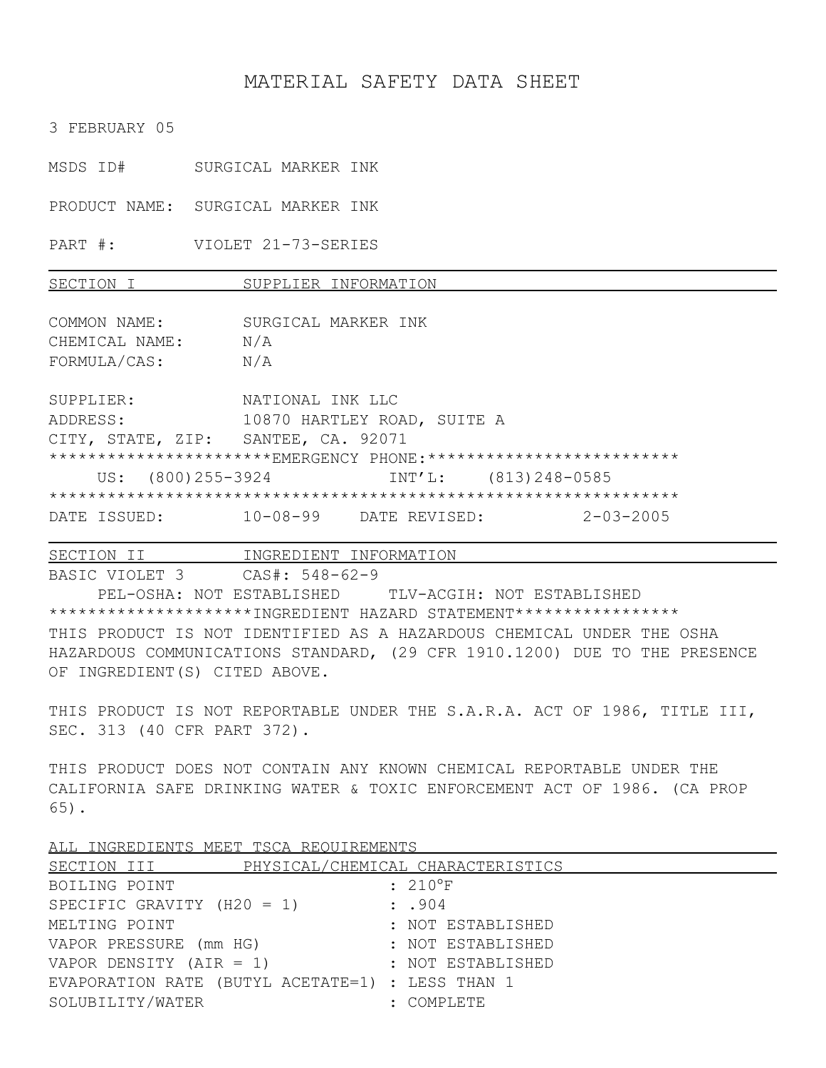## MATERIAL SAFETY DATA SHEET

3 FEBRUARY 05

MSDS ID# SURGICAL MARKER INK

PRODUCT NAME: SURGICAL MARKER INK

PART #: VIOLET 21-73-SERIES

SECTION I SUPPLIER INFORMATION

COMMON NAME: SURGICAL MARKER INK CHEMICAL NAME: N/A FORMULA/CAS: N/A

SUPPLIER: NATIONAL INK LLC ADDRESS: 10870 HARTLEY ROAD, SUITE A CITY, STATE, ZIP: SANTEE, CA. 92071 \*\*\*\*\*\*\*\*\*\*\*\*\*\*\*\*\*\*\*\*\*\*EMERGENCY PHONE:\*\*\*\*\*\*\*\*\*\*\*\*\*\*\*\*\*\*\*\*\*\*\*\*\*\*\* US: (800)255-3924 INT'L: (813)248-0585 \*\*\*\*\*\*\*\*\*\*\*\*\*\*\*\*\*\*\*\*\*\*\*\*\*\*\*\*\*\*\*\*\*\*\*\*\*\*\*\*\*\*\*\*\*\*\*\*\*\*\*\*\*\*\*\*\*\*\*\*\*\*\*\*\* DATE ISSUED: 10-08-99 DATE REVISED: 2-03-2005

SECTION II INGREDIENT INFORMATION BASIC VIOLET 3 CAS#: 548-62-9 PEL-OSHA: NOT ESTABLISHED TLV-ACGIH: NOT ESTABLISHED \*\*\*\*\*\*\*\*\*\*\*\*\*\*\*\*\*\*\*\*\*INGREDIENT HAZARD STATEMENT\*\*\*\*\*\*\*\*\*\*\*\*\*\*\*\*\* THIS PRODUCT IS NOT IDENTIFIED AS A HAZARDOUS CHEMICAL UNDER THE OSHA HAZARDOUS COMMUNICATIONS STANDARD, (29 CFR 1910.1200) DUE TO THE PRESENCE OF INGREDIENT(S) CITED ABOVE.

THIS PRODUCT IS NOT REPORTABLE UNDER THE S.A.R.A. ACT OF 1986, TITLE III, SEC. 313 (40 CFR PART 372).

THIS PRODUCT DOES NOT CONTAIN ANY KNOWN CHEMICAL REPORTABLE UNDER THE CALIFORNIA SAFE DRINKING WATER & TOXIC ENFORCEMENT ACT OF 1986. (CA PROP 65).

SECTION III PHYSICAL/CHEMICAL CHARACTERISTICS BOILING POINT : 210°F SPECIFIC GRAVITY  $(H20 = 1)$  : .904 MELTING POINT **1999** MELTING POINT VAPOR PRESSURE (mm HG) : NOT ESTABLISHED VAPOR DENSITY (AIR = 1) : NOT ESTABLISHED EVAPORATION RATE (BUTYL ACETATE=1) : LESS THAN 1 SOLUBILITY/WATER : COMPLETE

ALL INGREDIENTS MEET TSCA REQUIREMENTS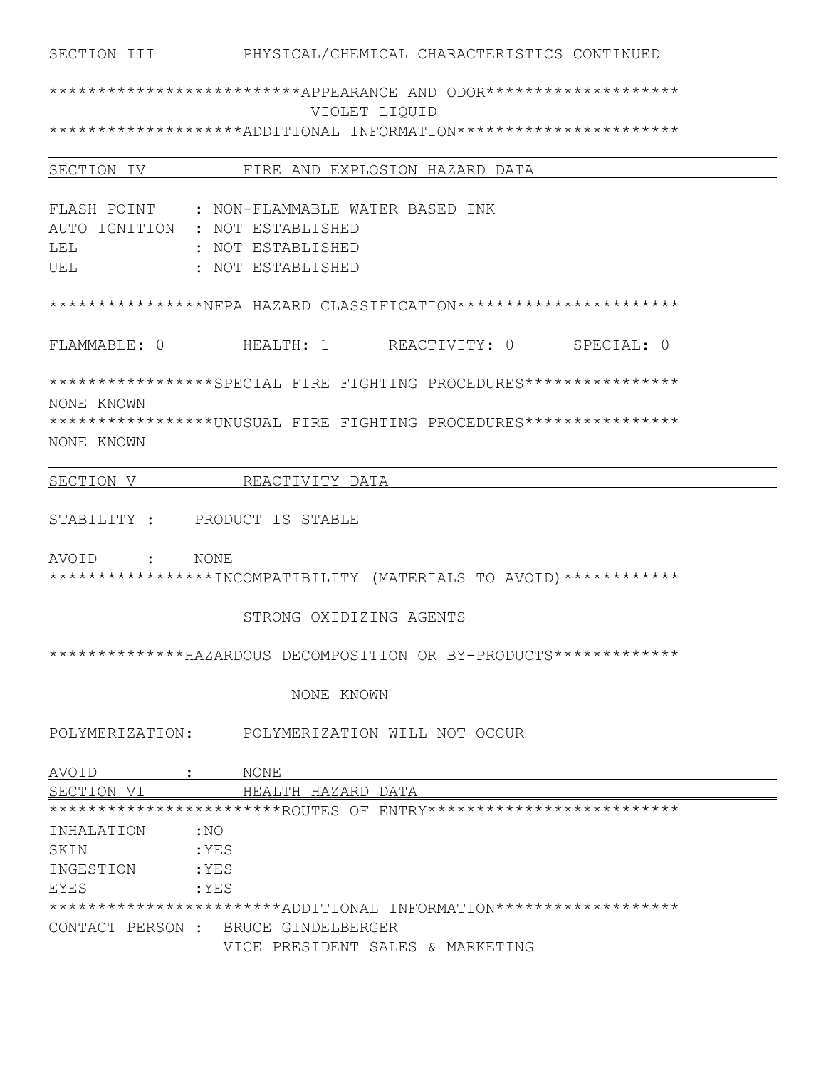# \*\*\*\*\*\*\*\*\*\*\*\*\*\*\*\*\*\*\*\*\*\*\*\*\*APPEARANCE AND ODOR\*\*\*\*\*\*\*\*\*\*\*\*\*\*\*\*\*\*\*\*\*\* VIOLET LIQUID \*\*\*\*\*\*\*\*\*\*\*\*\*\*\*\*\*\*\*ADDITIONAL INFORMATION\*\*\*\*\*\*\*\*\*\*\*\*\*\*\*\*\*\*\*\*\*\*\*\*

| SECTION IV    | FIRE AND EXPLOSION HAZARD DATA                                     |
|---------------|--------------------------------------------------------------------|
|               |                                                                    |
| FLASH POINT   | : NON-FLAMMABLE WATER BASED INK                                    |
| AUTO IGNITION | : NOT ESTABLISHED                                                  |
| LEL           | : NOT ESTABLISHED                                                  |
| UEL           | : NOT ESTABLISHED                                                  |
|               |                                                                    |
|               | ****************NFPA HAZARD CLASSIFICATION***********************  |
|               |                                                                    |
| FLAMMABLE: 0  | HEALTH: 1 REACTIVITY: 0<br>SPECIAL: 0                              |
|               |                                                                    |
|               | *****************SPECIAL FIRE FIGHTING PROCEDURES****************  |
| NONE KNOWN    |                                                                    |
|               | ******************UNUSUAL FIRE FIGHTING PROCEDURES**************** |
| NONE KNOWN    |                                                                    |

SECTION V REACTIVITY DATA

STABILITY : PRODUCT IS STABLE

AVOID : NONE

\*\*\*\*\*\*\*\*\*\*\*\*\*\*\*\*\*INCOMPATIBILITY (MATERIALS TO AVOID)\*\*\*\*\*\*\*\*\*\*\*\*

## STRONG OXIDIZING AGENTS

\*\*\*\*\*\*\*\*\*\*\*\*\*\*HAZARDOUS DECOMPOSITION OR BY-PRODUCTS\*\*\*\*\*\*\*\*\*\*\*\*\*

#### NONE KNOWN

POLYMERIZATION: POLYMERIZATION WILL NOT OCCUR

| AVOID<br>NONE                                                    |  |
|------------------------------------------------------------------|--|
| SECTION VI<br>HEALTH HAZARD DATA                                 |  |
| ***********************ROUTES OF ENTRY************************** |  |
| INHALATION<br>: NO                                               |  |
| :YES<br>SKIN                                                     |  |
| INGESTION<br>:YES                                                |  |
| EYES<br>:YES                                                     |  |
| ***********************ADDITIONAL INFORMATION******************* |  |
| CONTACT PERSON : BRUCE GINDELBERGER                              |  |
| VICE PRESIDENT SALES & MARKETING                                 |  |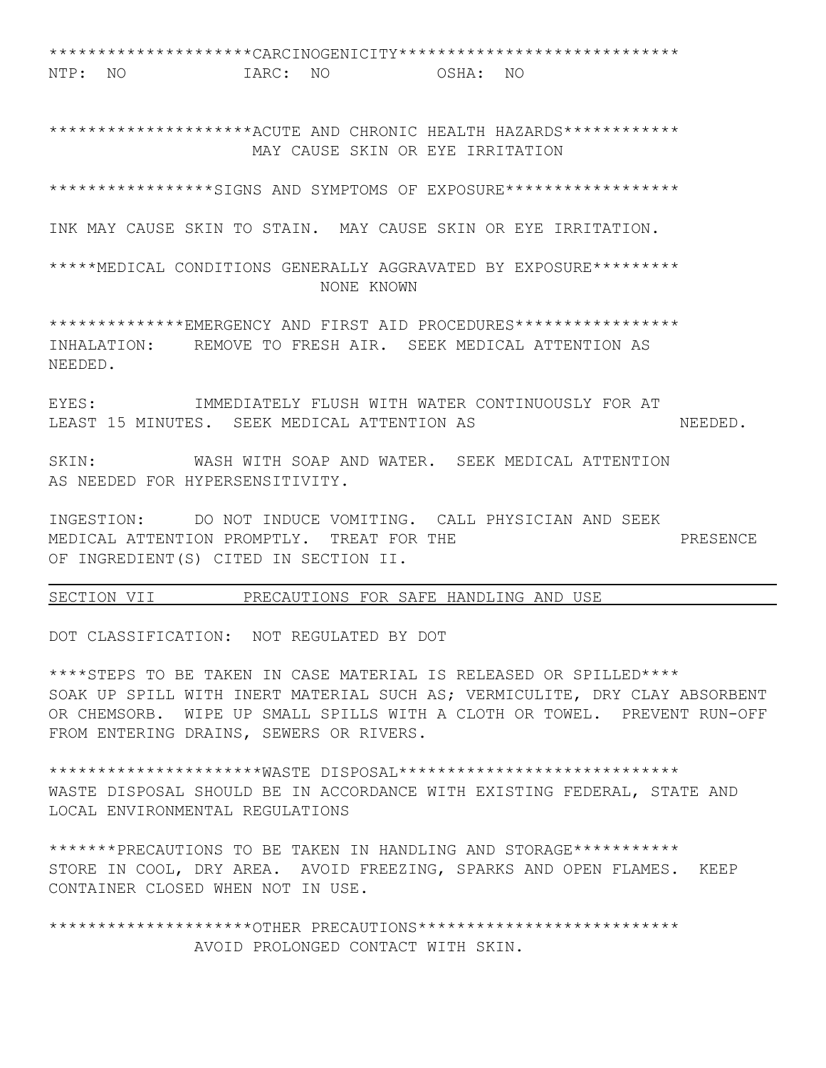\*\*\*\*\*\*\*\*\*\*\*\*\*\*\*\*\*\*\*\*\*CARCINOGENICITY\*\*\*\*\*\*\*\*\*\*\*\*\*\*\*\*\*\*\*\*\*\*\*\*\*\*\*\*\* NTP: NO IARC: NO OSHA: NO

\*\*\*\*\*\*\*\*\*\*\*\*\*\*\*\*\*\*\*\*ACUTE AND CHRONIC HEALTH HAZARDS\*\*\*\*\*\*\*\*\*\*\*\* MAY CAUSE SKIN OR EYE IRRITATION

\*\*\*\*\*\*\*\*\*\*\*\*\*\*\*\*\*SIGNS AND SYMPTOMS OF EXPOSURE\*\*\*\*\*\*\*\*\*\*\*\*\*\*\*\*\*\*

INK MAY CAUSE SKIN TO STAIN. MAY CAUSE SKIN OR EYE IRRITATION.

\*\*\*\*\*MEDICAL CONDITIONS GENERALLY AGGRAVATED BY EXPOSURE\*\*\*\*\*\*\*\*\* NONE KNOWN

\*\*\*\*\*\*\*\*\*\*\*\*\*\*EMERGENCY AND FIRST AID PROCEDURES\*\*\*\*\*\*\*\*\*\*\*\*\*\*\*\*\* INHALATION: REMOVE TO FRESH AIR. SEEK MEDICAL ATTENTION AS NEEDED.

EYES: IMMEDIATELY FLUSH WITH WATER CONTINUOUSLY FOR AT LEAST 15 MINUTES. SEEK MEDICAL ATTENTION AS NEEDED.

SKIN: WASH WITH SOAP AND WATER. SEEK MEDICAL ATTENTION AS NEEDED FOR HYPERSENSITIVITY.

INGESTION: DO NOT INDUCE VOMITING. CALL PHYSICIAN AND SEEK MEDICAL ATTENTION PROMPTLY. TREAT FOR THE **PROMET ASSESS** PRESENCE OF INGREDIENT(S) CITED IN SECTION II.

### SECTION VII PRECAUTIONS FOR SAFE HANDLING AND USE

DOT CLASSIFICATION: NOT REGULATED BY DOT

\*\*\*\*STEPS TO BE TAKEN IN CASE MATERIAL IS RELEASED OR SPILLED\*\*\*\* SOAK UP SPILL WITH INERT MATERIAL SUCH AS; VERMICULITE, DRY CLAY ABSORBENT OR CHEMSORB. WIPE UP SMALL SPILLS WITH A CLOTH OR TOWEL. PREVENT RUN-OFF FROM ENTERING DRAINS, SEWERS OR RIVERS.

\*\*\*\*\*\*\*\*\*\*\*\*\*\*\*\*\*\*\*\*\*\*WASTE DISPOSAL\*\*\*\*\*\*\*\*\*\*\*\*\*\*\*\*\*\*\*\*\*\*\*\*\*\*\*\*\* WASTE DISPOSAL SHOULD BE IN ACCORDANCE WITH EXISTING FEDERAL, STATE AND LOCAL ENVIRONMENTAL REGULATIONS

\*\*\*\*\*\*\*PRECAUTIONS TO BE TAKEN IN HANDLING AND STORAGE\*\*\*\*\*\*\*\*\*\*\* STORE IN COOL, DRY AREA. AVOID FREEZING, SPARKS AND OPEN FLAMES. KEEP CONTAINER CLOSED WHEN NOT IN USE.

\*\*\*\*\*\*\*\*\*\*\*\*\*\*\*\*\*\*\*\*OTHER PRECAUTIONS\*\*\*\*\*\*\*\*\*\*\*\*\*\*\*\*\*\*\*\*\*\*\*\*\*\*\* AVOID PROLONGED CONTACT WITH SKIN.